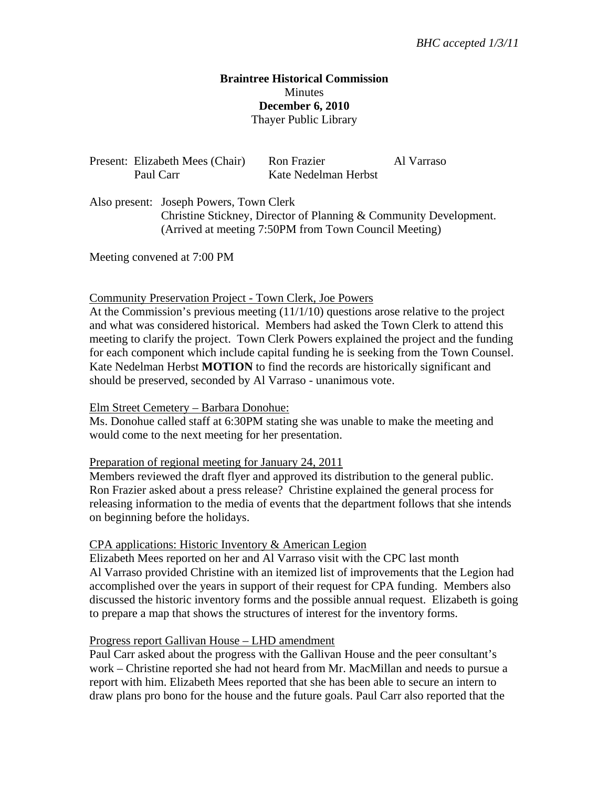# **Braintree Historical Commission Minutes December 6, 2010**  Thayer Public Library

| Present: Elizabeth Mees (Chair) | Ron Frazier          | Al Varraso |
|---------------------------------|----------------------|------------|
| Paul Carr                       | Kate Nedelman Herbst |            |

Also present: Joseph Powers, Town Clerk Christine Stickney, Director of Planning & Community Development. (Arrived at meeting 7:50PM from Town Council Meeting)

Meeting convened at 7:00 PM

#### Community Preservation Project - Town Clerk, Joe Powers

At the Commission's previous meeting (11/1/10) questions arose relative to the project and what was considered historical. Members had asked the Town Clerk to attend this meeting to clarify the project. Town Clerk Powers explained the project and the funding for each component which include capital funding he is seeking from the Town Counsel. Kate Nedelman Herbst **MOTION** to find the records are historically significant and should be preserved, seconded by Al Varraso - unanimous vote.

#### Elm Street Cemetery – Barbara Donohue:

Ms. Donohue called staff at 6:30PM stating she was unable to make the meeting and would come to the next meeting for her presentation.

### Preparation of regional meeting for January 24, 2011

Members reviewed the draft flyer and approved its distribution to the general public. Ron Frazier asked about a press release? Christine explained the general process for releasing information to the media of events that the department follows that she intends on beginning before the holidays.

#### CPA applications: Historic Inventory & American Legion

Elizabeth Mees reported on her and Al Varraso visit with the CPC last month Al Varraso provided Christine with an itemized list of improvements that the Legion had accomplished over the years in support of their request for CPA funding. Members also discussed the historic inventory forms and the possible annual request. Elizabeth is going to prepare a map that shows the structures of interest for the inventory forms.

#### Progress report Gallivan House – LHD amendment

Paul Carr asked about the progress with the Gallivan House and the peer consultant's work – Christine reported she had not heard from Mr. MacMillan and needs to pursue a report with him. Elizabeth Mees reported that she has been able to secure an intern to draw plans pro bono for the house and the future goals. Paul Carr also reported that the